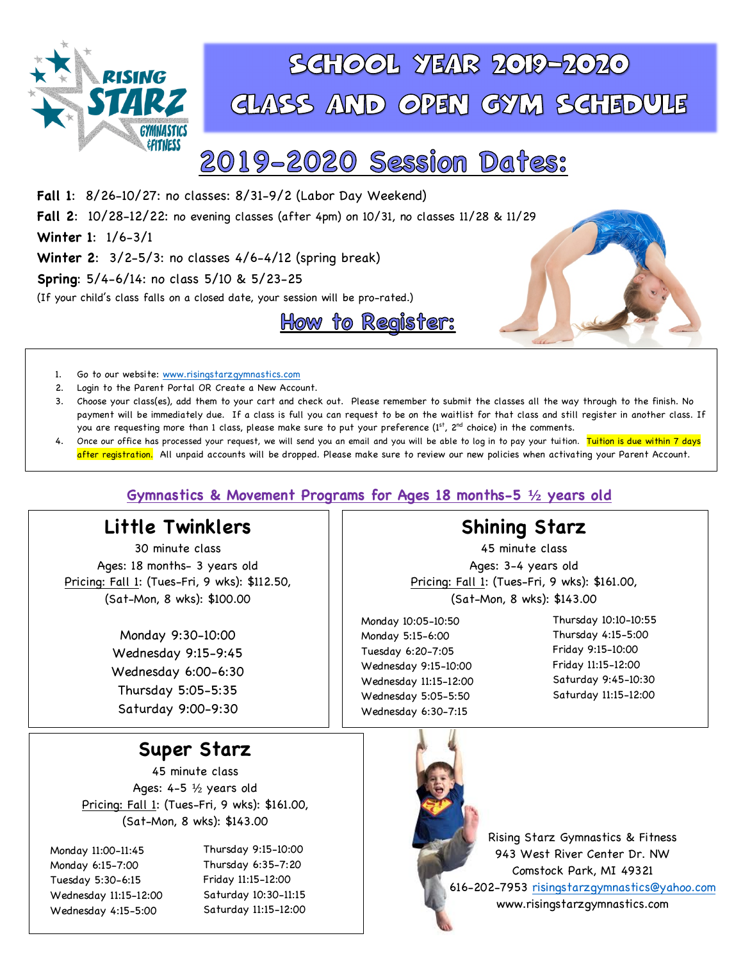

# SGHOOL YEAR 2019-2020 GLASS AND OPEN GYM SGHEDULE

# 2019-2020 Session Dates:

**Fall 1**: 8/26-10/27: no classes: 8/31-9/2 (Labor Day Weekend) **Fall 2**: 10/28-12/22: no evening classes (after 4pm) on 10/31, no classes 11/28 & 11/29 **Winter 1**: 1/6-3/1 **Winter 2**: 3/2-5/3: no classes 4/6-4/12 (spring break) **Spring**: 5/4-6/14: no class 5/10 & 5/23-25 (If your child's class falls on a closed date, your session will be pro-rated.) How to Register:





- 1. Go to our website: www.risingstarzgymnastics.com
- 2. Login to the Parent Portal OR Create a New Account.
- 3. Choose your class(es), add them to your cart and check out. Please remember to submit the classes all the way through to the finish. No payment will be immediately due. If a class is full you can request to be on the waitlist for that class and still register in another class. If you are requesting more than 1 class, please make sure to put your preference (1st, 2<sup>nd</sup> choice) in the comments.
- 4. Once our office has processed your request, we will send you an email and you will be able to log in to pay your tuition. <mark>Tuition is due within 7 days</mark> after registration. All unpaid accounts will be dropped. Please make sure to review our new policies when activating your Parent Account.

### **Gymnastics & Movement Programs for Ages 18 months-5 ½ years old**

### **Little Twinklers**

30 minute class Ages: 18 months- 3 years old Pricing: Fall 1: (Tues-Fri, 9 wks): \$112.50, (Sat-Mon, 8 wks): \$100.00

> Monday 9:30-10:00 Wednesday 9:15-9:45 Wednesday 6:00-6:30 Thursday 5:05-5:35 Saturday 9:00-9:30

### **Super Starz**

45 minute class Ages: 4-5 ½ years old Pricing: Fall 1: (Tues-Fri, 9 wks): \$161.00, (Sat-Mon, 8 wks): \$143.00

Monday 11:00-11:45 Monday 6:15-7:00 Tuesday 5:30-6:15 Wednesday 11:15-12:00 Wednesday 4:15-5:00

Thursday 9:15-10:00 Thursday 6:35-7:20 Friday 11:15-12:00 Saturday 10:30-11:15 Saturday 11:15-12:00



45 minute class Ages: 3-4 years old Pricing: Fall 1: (Tues-Fri, 9 wks): \$161.00, (Sat-Mon, 8 wks): \$143.00

Monday 10:05-10:50 Monday 5:15-6:00 Tuesday 6:20-7:05 Wednesday 9:15-10:00 Wednesday 11:15-12:00 Wednesday 5:05-5:50 Wednesday 6:30-7:15

Thursday 10:10-10:55 Thursday 4:15-5:00 Friday 9:15-10:00 Friday 11:15-12:00 Saturday 9:45-10:30 Saturday 11:15-12:00



Rising Starz Gymnastics & Fitness 943 West River Center Dr. NW Comstock Park, MI 49321 616-202-7953 risingstarzgymnastics@yahoo.com www.risingstarzgymnastics.com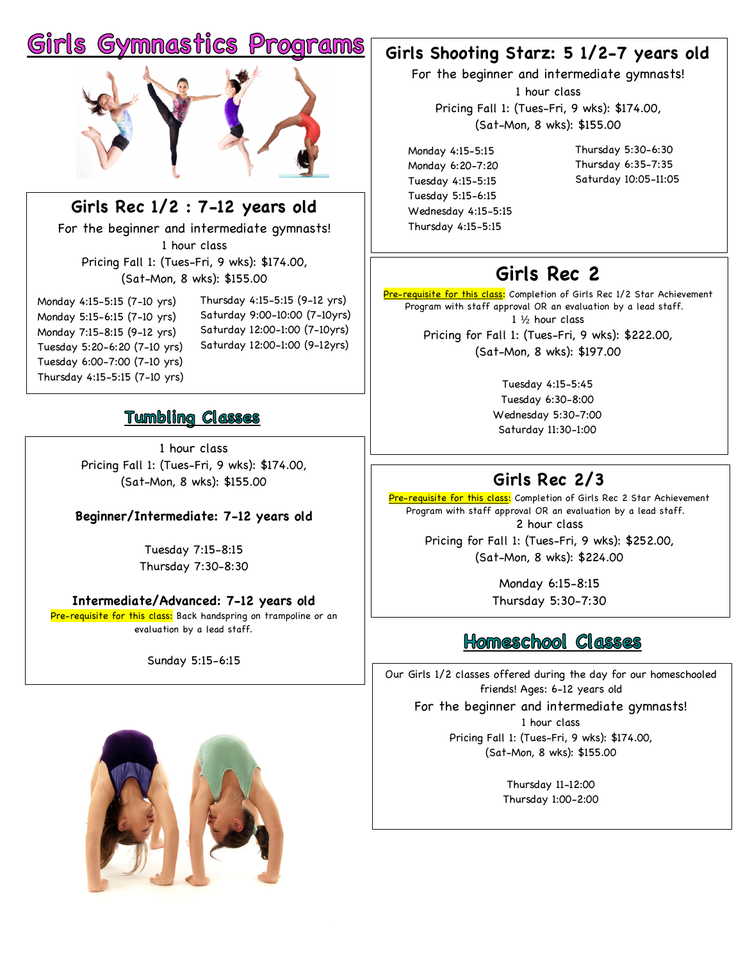# **Gymnastics Programs**



**Girls Rec 1/2 : 7-12 years old** For the beginner and intermediate gymnasts! 1 hour class Pricing Fall 1: (Tues-Fri, 9 wks): \$174.00,

(Sat-Mon, 8 wks): \$155.00

Monday 4:15-5:15 (7-10 yrs) Monday 5:15-6:15 (7-10 yrs) Monday 7:15-8:15 (9-12 yrs) Tuesday 5:20-6:20 (7-10 yrs) Tuesday 6:00-7:00 (7-10 yrs) Thursday 4:15-5:15 (7-10 yrs)

Thursday 4:15-5:15 (9-12 yrs) Saturday 9:00-10:00 (7-10yrs) Saturday 12:00-1:00 (7-10yrs) Saturday 12:00-1:00 (9-12yrs)

### **Tumbling Classes**

1 hour class Pricing Fall 1: (Tues-Fri, 9 wks): \$174.00, (Sat-Mon, 8 wks): \$155.00

### **Beginner/Intermediate: 7-12 years old**

Tuesday 7:15-8:15 Thursday 7:30-8:30

### **Intermediate/Advanced: 7-12 years old**

Pre-requisite for this class: Back handspring on trampoline or an evaluation by a lead staff.

Sunday 5:15-6:15

## **Girls Shooting Starz: 5 1/2-7 years old**

For the beginner and intermediate gymnasts! 1 hour class Pricing Fall 1: (Tues-Fri, 9 wks): \$174.00, (Sat-Mon, 8 wks): \$155.00

Monday 4:15-5:15 Monday 6:20-7:20 Tuesday 4:15-5:15 Tuesday 5:15-6:15 Wednesday 4:15-5:15 Thursday 4:15-5:15

Thursday 5:30-6:30 Thursday 6:35-7:35 Saturday 10:05-11:05

# **Girls Rec 2**

<mark>Pre-requisite for this class:</mark> Completion of Girls Rec 1/2 Star Achievement Program with staff approval OR an evaluation by a lead staff. 1 ½ hour class Pricing for Fall 1: (Tues-Fri, 9 wks): \$222.00, (Sat-Mon, 8 wks): \$197.00

> Tuesday 4:15-5:45 Tuesday 6:30-8:00 Wednesday 5:30-7:00 Saturday 11:30-1:00

## **Girls Rec 2/3**

Pre-requisite for this class: Completion of Girls Rec 2 Star Achievement Program with staff approval OR an evaluation by a lead staff. 2 hour class Pricing for Fall 1: (Tues-Fri, 9 wks): \$252.00, (Sat-Mon, 8 wks): \$224.00

> Monday 6:15-8:15 Thursday 5:30-7:30

## **Homeschool Classes**

Our Girls 1/2 classes offered during the day for our homeschooled friends! Ages: 6-12 years old

For the beginner and intermediate gymnasts!

1 hour class Pricing Fall 1: (Tues-Fri, 9 wks): \$174.00, (Sat-Mon, 8 wks): \$155.00

> Thursday 11-12:00 Thursday 1:00-2:00